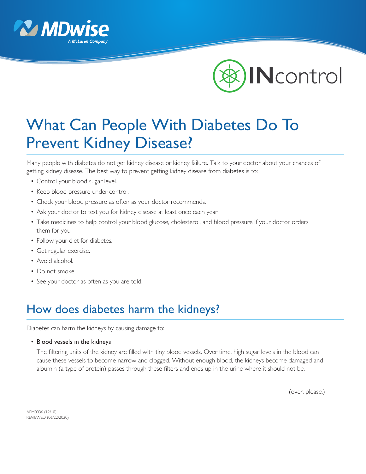



## What Can People With Diabetes Do To Prevent Kidney Disease?

Many people with diabetes do not get kidney disease or kidney failure. Talk to your doctor about your chances of getting kidney disease. The best way to prevent getting kidney disease from diabetes is to:

- Control your blood sugar level.
- Keep blood pressure under control.
- Check your blood pressure as often as your doctor recommends.
- Ask your doctor to test you for kidney disease at least once each year.
- Take medicines to help control your blood glucose, cholesterol, and blood pressure if your doctor orders them for you.
- Follow your diet for diabetes.
- Get regular exercise.
- Avoid alcohol.
- Do not smoke.
- See your doctor as often as you are told.

## How does diabetes harm the kidneys?

Diabetes can harm the kidneys by causing damage to:

• Blood vessels in the kidneys

 The filtering units of the kidney are filled with tiny blood vessels. Over time, high sugar levels in the blood can cause these vessels to become narrow and clogged. Without enough blood, the kidneys become damaged and albumin (a type of protein) passes through these filters and ends up in the urine where it should not be.

(over, please.)

APM0036 (12/10) REVIEWED (06/22/2020)